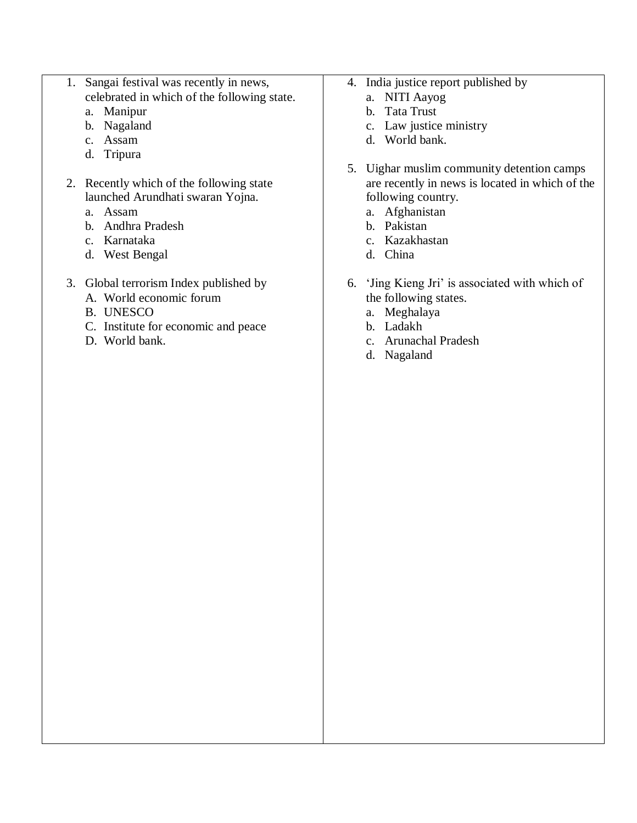- 1. Sangai festival was recently in news, celebrated in which of the following state.
	- a. Manipur
	- b. Nagaland
	- c. Assam
	- d. Tripura
- 2. Recently which of the following state launched Arundhati swaran Yojna.
	- a. Assam
	- b. Andhra Pradesh
	- c. Karnataka
	- d. West Bengal
- 3. Global terrorism Index published by
	- A. World economic forum
	- B. UNESCO
	- C. Institute for economic and peace
	- D. World bank.
- 4. India justice report published by
	- a. NITI Aayog
	- b. Tata Trust
	- c. Law justice ministry
	- d. World bank.
- 5. Uighar muslim community detention camps are recently in news is located in which of the following country.
	- a. Afghanistan
	- b. Pakistan
	- c. Kazakhastan
	- d. China
- 6. 'Jing Kieng Jri' is associated with which of the following states.
	- a. Meghalaya
	- b. Ladakh
	- c. Arunachal Pradesh
	- d. Nagaland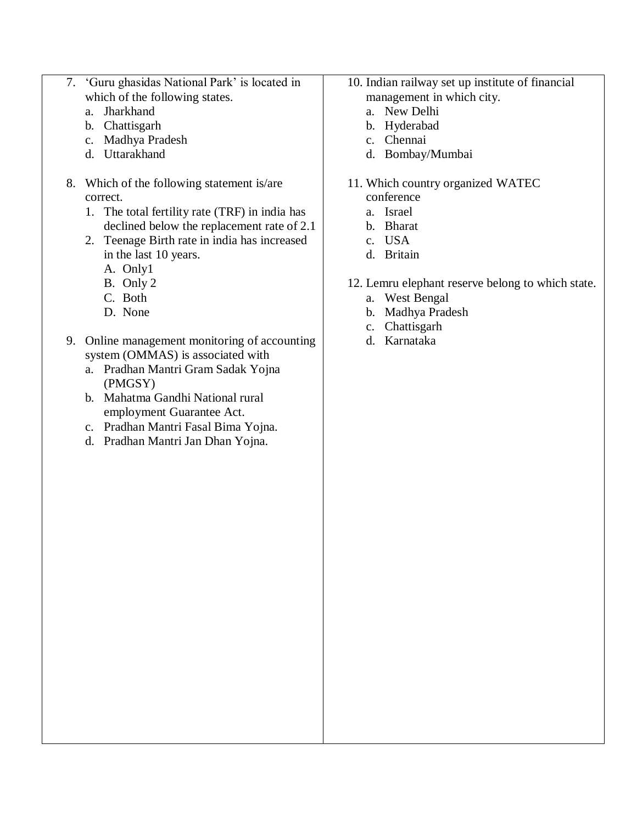- 7. 'Guru ghasidas National Park' is located in which of the following states.
	- a. Jharkhand
	- b. Chattisgarh
	- c. Madhya Pradesh
	- d. Uttarakhand
- 8. Which of the following statement is/are correct.
	- 1. The total fertility rate (TRF) in india has declined below the replacement rate of 2.1
	- 2. Teenage Birth rate in india has increased in the last 10 years.
		- A. Only1
		- B. Only 2
		- C. Both
		- D. None
- 9. Online management monitoring of accounting system (OMMAS) is associated with
	- a. Pradhan Mantri Gram Sadak Yojna (PMGSY)
	- b. Mahatma Gandhi National rural employment Guarantee Act.
	- c. Pradhan Mantri Fasal Bima Yojna.
	- d. Pradhan Mantri Jan Dhan Yojna.
- 10. Indian railway set up institute of financial management in which city.
	- a. New Delhi
	- b. Hyderabad
	- c. Chennai
	- d. Bombay/Mumbai
- 11. Which country organized WATEC conference
	- a. Israel
	- b. Bharat
	- c. USA
	- d. Britain
- 12. Lemru elephant reserve belong to which state.
	- a. West Bengal
	- b. Madhya Pradesh
	- c. Chattisgarh
	- d. Karnataka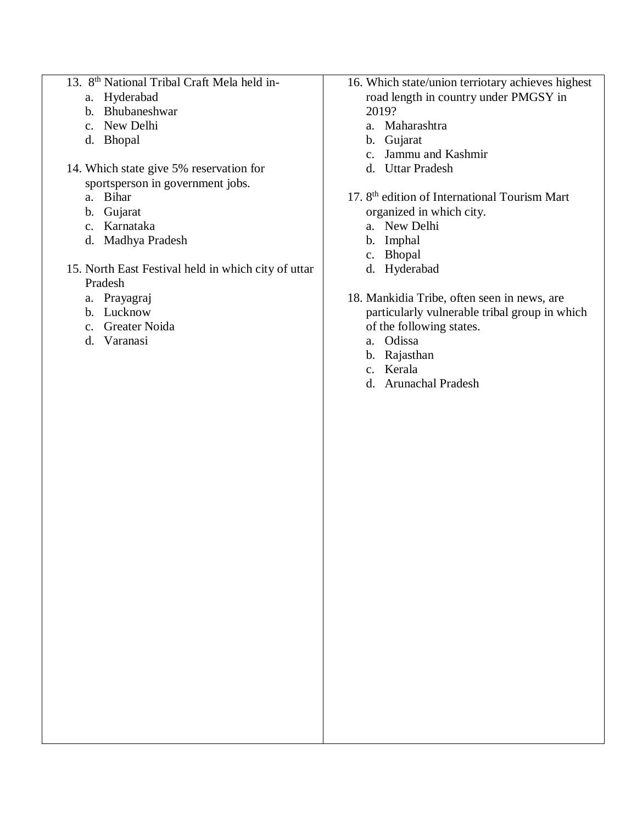- 13. 8<sup>th</sup> National Tribal Craft Mela held in
	- a. Hyderabad
	- b. Bhubaneshwar
	- c. New Delhi
	- d. Bhopal
- 14. Which state give 5% reservation for sportsperson in government jobs.
	- a. Bihar
	- b. Gujarat
	- c. Karnataka
	- d. Madhya Pradesh
- 15. North East Festival held in which city of uttar Pradesh
	- a. Prayagraj
	- b. Lucknow
	- c. Greater Noida
	- d. Varanasi
- 16. Which state/union terriotary achieves highest road length in country under PMGSY in 2019?
	- a. Maharashtra
	- b. Gujarat
	- c. Jammu and Kashmir
	- d. Uttar Pradesh
- 17. 8<sup>th</sup> edition of International Tourism Mart organized in which city.
	- a. New Delhi
	- b. Imphal
	- c. Bhopal
	- d. Hyderabad
- 18. Mankidia Tribe, often seen in news, are particularly vulnerable tribal group in which of the following states.
	- a. Odissa
	- b. Rajasthan
	- c. Kerala
	- d. Arunachal Pradesh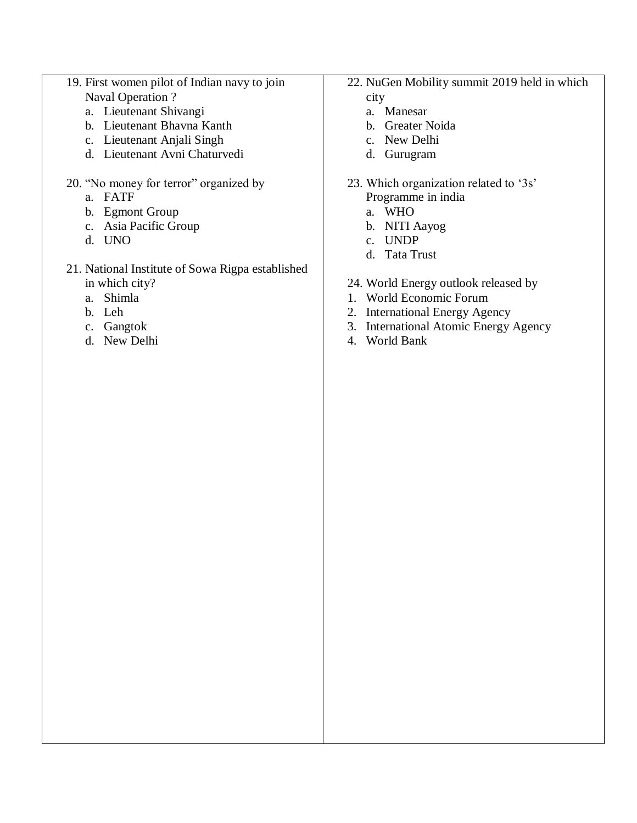- 19. First women pilot of Indian navy to join Naval Operation ?
	- a. Lieutenant Shivangi
	- b. Lieutenant Bhavna Kanth
	- c. Lieutenant Anjali Singh
	- d. Lieutenant Avni Chaturvedi
- 20. "No money for terror" organized by
	- a. FATF
	- b. Egmont Group
	- c. Asia Pacific Group
	- d. UNO
- 21. National Institute of Sowa Rigpa established in which city?
	- a. Shimla
	- b. Leh
	- c. Gangtok
	- d. New Delhi

## 22. NuGen Mobility summit 2019 held in which

- city
- a. Manesar
- b. Greater Noida
- c. New Delhi
- d. Gurugram
- 23. Which organization related to '3s' Programme in india
	- a. WHO
	- b. NITI Aayog
	- c. UNDP
	- d. Tata Trust
- 24. World Energy outlook released by
- 1. World Economic Forum
- 2. International Energy Agency
- 3. International Atomic Energy Agency
- 4. World Bank